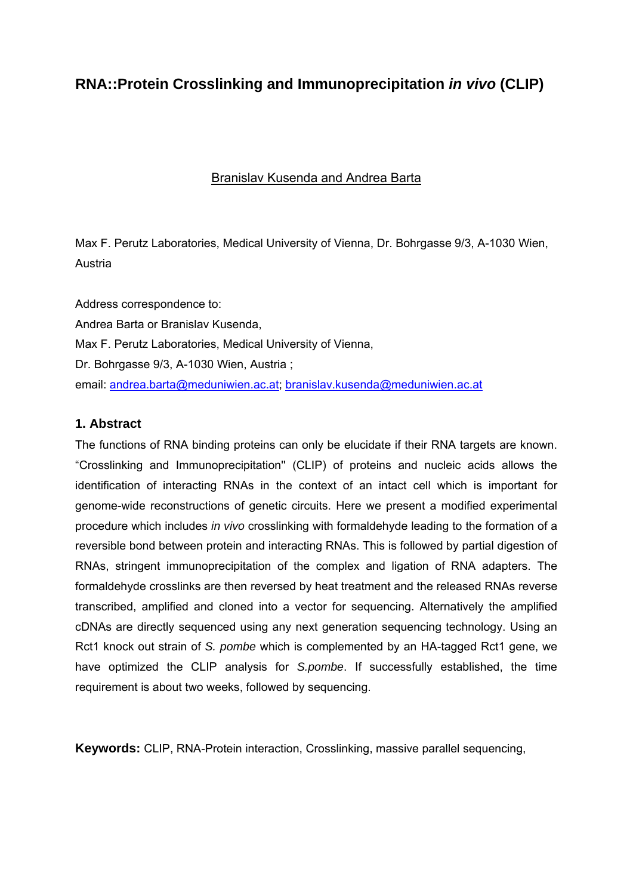# **RNA::Protein Crosslinking and Immunoprecipitation** *in vivo* **(CLIP)**

#### Branislav Kusenda and Andrea Barta

Max F. Perutz Laboratories, Medical University of Vienna, Dr. Bohrgasse 9/3, A-1030 Wien, Austria

Address correspondence to: Andrea Barta or Branislav Kusenda, Max F. Perutz Laboratories, Medical University of Vienna, Dr. Bohrgasse 9/3, A-1030 Wien, Austria ; email: andrea.barta@meduniwien.ac.at; branislav.kusenda@meduniwien.ac.at

#### **1. Abstract**

The functions of RNA binding proteins can only be elucidate if their RNA targets are known. "Crosslinking and Immunoprecipitation'' (CLIP) of proteins and nucleic acids allows the identification of interacting RNAs in the context of an intact cell which is important for genome-wide reconstructions of genetic circuits. Here we present a modified experimental procedure which includes *in vivo* crosslinking with formaldehyde leading to the formation of a reversible bond between protein and interacting RNAs. This is followed by partial digestion of RNAs, stringent immunoprecipitation of the complex and ligation of RNA adapters. The formaldehyde crosslinks are then reversed by heat treatment and the released RNAs reverse transcribed, amplified and cloned into a vector for sequencing. Alternatively the amplified cDNAs are directly sequenced using any next generation sequencing technology. Using an Rct1 knock out strain of *S. pombe* which is complemented by an HA-tagged Rct1 gene, we have optimized the CLIP analysis for *S.pombe*. If successfully established, the time requirement is about two weeks, followed by sequencing.

**Keywords:** CLIP, RNA-Protein interaction, Crosslinking, massive parallel sequencing,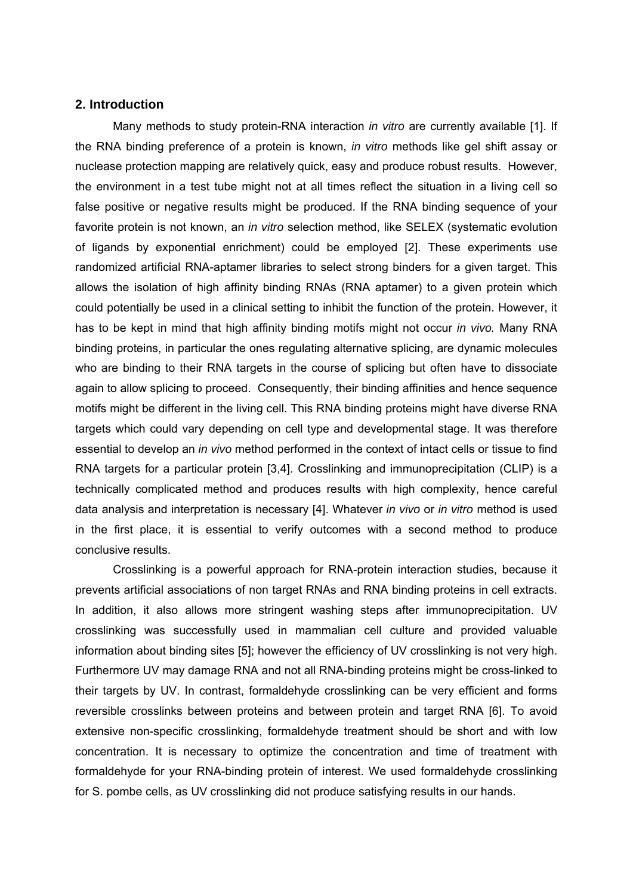#### **2. Introduction**

Many methods to study protein-RNA interaction *in vitro* are currently available [1]. If the RNA binding preference of a protein is known, *in vitro* methods like gel shift assay or nuclease protection mapping are relatively quick, easy and produce robust results. However, the environment in a test tube might not at all times reflect the situation in a living cell so false positive or negative results might be produced. If the RNA binding sequence of your favorite protein is not known, an *in vitro* selection method, like SELEX (systematic evolution of ligands by exponential enrichment) could be employed [2]. These experiments use randomized artificial RNA-aptamer libraries to select strong binders for a given target. This allows the isolation of high affinity binding RNAs (RNA aptamer) to a given protein which could potentially be used in a clinical setting to inhibit the function of the protein. However, it has to be kept in mind that high affinity binding motifs might not occur *in vivo.* Many RNA binding proteins, in particular the ones regulating alternative splicing, are dynamic molecules who are binding to their RNA targets in the course of splicing but often have to dissociate again to allow splicing to proceed. Consequently, their binding affinities and hence sequence motifs might be different in the living cell. This RNA binding proteins might have diverse RNA targets which could vary depending on cell type and developmental stage. It was therefore essential to develop an *in vivo* method performed in the context of intact cells or tissue to find RNA targets for a particular protein [3,4]. Crosslinking and immunoprecipitation (CLIP) is a technically complicated method and produces results with high complexity, hence careful data analysis and interpretation is necessary [4]. Whatever *in vivo* or *in vitro* method is used in the first place, it is essential to verify outcomes with a second method to produce conclusive results.

Crosslinking is a powerful approach for RNA-protein interaction studies, because it prevents artificial associations of non target RNAs and RNA binding proteins in cell extracts. In addition, it also allows more stringent washing steps after immunoprecipitation. UV crosslinking was successfully used in mammalian cell culture and provided valuable information about binding sites [5]; however the efficiency of UV crosslinking is not very high. Furthermore UV may damage RNA and not all RNA-binding proteins might be cross-linked to their targets by UV. In contrast, formaldehyde crosslinking can be very efficient and forms reversible crosslinks between proteins and between protein and target RNA [6]. To avoid extensive non-specific crosslinking, formaldehyde treatment should be short and with low concentration. It is necessary to optimize the concentration and time of treatment with formaldehyde for your RNA-binding protein of interest. We used formaldehyde crosslinking for S. pombe cells, as UV crosslinking did not produce satisfying results in our hands.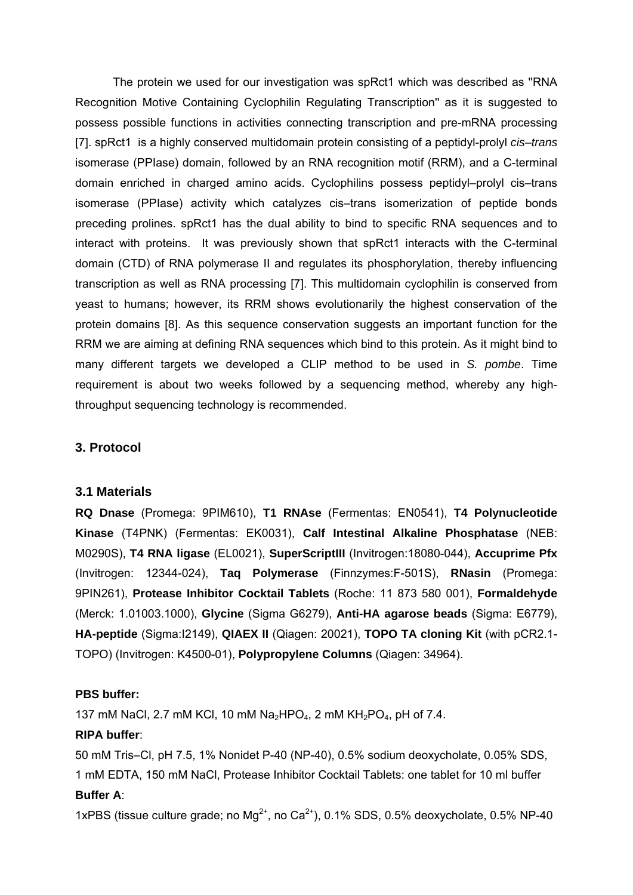The protein we used for our investigation was spRct1 which was described as ''RNA Recognition Motive Containing Cyclophilin Regulating Transcription'' as it is suggested to possess possible functions in activities connecting transcription and pre-mRNA processing [7]. spRct1 is a highly conserved multidomain protein consisting of a peptidyl-prolyl *cis*–*trans* isomerase (PPIase) domain, followed by an RNA recognition motif (RRM), and a C-terminal domain enriched in charged amino acids. Cyclophilins possess peptidyl–prolyl cis–trans isomerase (PPIase) activity which catalyzes cis–trans isomerization of peptide bonds preceding prolines. spRct1 has the dual ability to bind to specific RNA sequences and to interact with proteins. It was previously shown that spRct1 interacts with the C-terminal domain (CTD) of RNA polymerase II and regulates its phosphorylation, thereby influencing transcription as well as RNA processing [7]. This multidomain cyclophilin is conserved from yeast to humans; however, its RRM shows evolutionarily the highest conservation of the protein domains [8]. As this sequence conservation suggests an important function for the RRM we are aiming at defining RNA sequences which bind to this protein. As it might bind to many different targets we developed a CLIP method to be used in *S. pombe*. Time requirement is about two weeks followed by a sequencing method, whereby any highthroughput sequencing technology is recommended.

#### **3. Protocol**

#### **3.1 Materials**

**RQ Dnase** (Promega: 9PIM610), **T1 RNAse** (Fermentas: EN0541), **T4 Polynucleotide Kinase** (T4PNK) (Fermentas: EK0031), **Calf Intestinal Alkaline Phosphatase** (NEB: M0290S), **T4 RNA ligase** (EL0021), **SuperScriptIII** (Invitrogen:18080-044), **Accuprime Pfx**  (Invitrogen: 12344-024), **Taq Polymerase** (Finnzymes:F-501S), **RNasin** (Promega: 9PIN261), **Protease Inhibitor Cocktail Tablets** (Roche: 11 873 580 001), **Formaldehyde**  (Merck: 1.01003.1000), **Glycine** (Sigma G6279), **Anti-HA agarose beads** (Sigma: E6779), **HA-peptide** (Sigma:I2149), **QIAEX II** (Qiagen: 20021), **TOPO TA cloning Kit** (with pCR2.1- TOPO) (Invitrogen: K4500-01), **Polypropylene Columns** (Qiagen: 34964).

#### **PBS buffer:**

137 mM NaCl, 2.7 mM KCl, 10 mM Na<sub>2</sub>HPO<sub>4</sub>, 2 mM KH<sub>2</sub>PO<sub>4</sub>, pH of 7.4.

#### **RIPA buffer**:

50 mM Tris–Cl, pH 7.5, 1% Nonidet P-40 (NP-40), 0.5% sodium deoxycholate, 0.05% SDS,

# 1 mM EDTA, 150 mM NaCl, Protease Inhibitor Cocktail Tablets: one tablet for 10 ml buffer **Buffer A**:

1xPBS (tissue culture grade; no  $Mg^{2+}$ , no Ca $^{2+}$ ), 0.1% SDS, 0.5% deoxycholate, 0.5% NP-40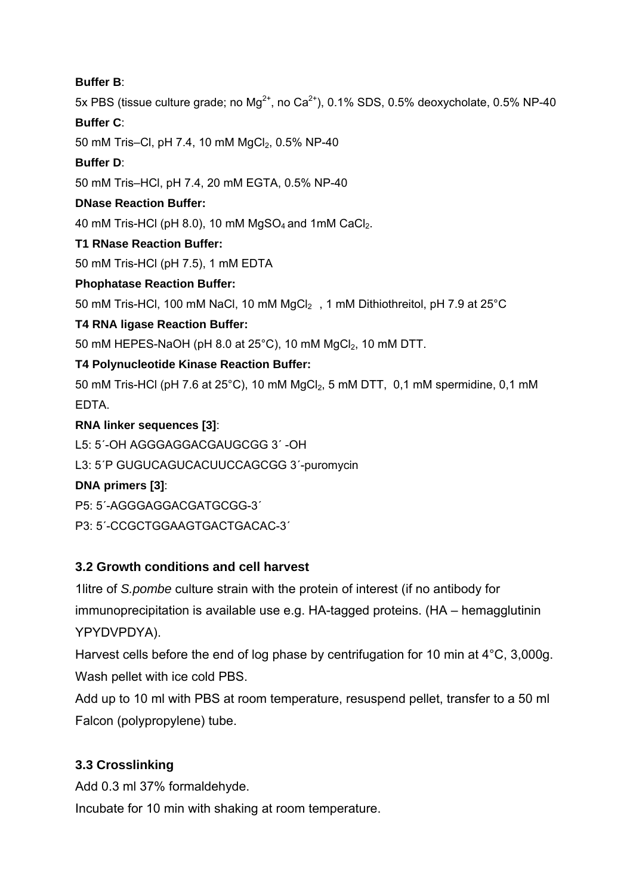#### **Buffer B**:

5x PBS (tissue culture grade; no  $Ma^{2+}$ , no  $Ca^{2+}$ ), 0.1% SDS, 0.5% deoxycholate, 0.5% NP-40

#### **Buffer C**:

50 mM Tris–Cl, pH 7.4, 10 mM MgCl<sub>2</sub>, 0.5% NP-40

# **Buffer D**:

50 mM Tris–HCl, pH 7.4, 20 mM EGTA, 0.5% NP-40

#### **DNase Reaction Buffer:**

40 mM Tris-HCl (pH 8.0), 10 mM  $MgSO<sub>4</sub>$  and 1mM CaCl<sub>2</sub>.

#### **T1 RNase Reaction Buffer:**

50 mM Tris-HCl (pH 7.5), 1 mM EDTA

# **Phophatase Reaction Buffer:**

50 mM Tris-HCl, 100 mM NaCl, 10 mM  $MgCl<sub>2</sub>$ , 1 mM Dithiothreitol, pH 7.9 at 25°C

# **T4 RNA ligase Reaction Buffer:**

50 mM HEPES-NaOH (pH 8.0 at 25°C), 10 mM MgCl<sub>2</sub>, 10 mM DTT.

# **T4 Polynucleotide Kinase Reaction Buffer:**

50 mM Tris-HCl (pH 7.6 at 25 $^{\circ}$ C), 10 mM MgCl<sub>2</sub>, 5 mM DTT, 0,1 mM spermidine, 0,1 mM EDTA.

# **RNA linker sequences [3]**:

- L5: 5´-OH AGGGAGGACGAUGCGG 3´ -OH
- L3: 5´P GUGUCAGUCACUUCCAGCGG 3´-puromycin

# **DNA primers [3]**:

- P5: 5´-AGGGAGGACGATGCGG-3´
- P3: 5´-CCGCTGGAAGTGACTGACAC-3´

# **3.2 Growth conditions and cell harvest**

1litre of *S.pombe* culture strain with the protein of interest (if no antibody for immunoprecipitation is available use e.g. HA-tagged proteins. (HA – hemagglutinin YPYDVPDYA).

Harvest cells before the end of log phase by centrifugation for 10 min at 4°C, 3,000g. Wash pellet with ice cold PBS.

Add up to 10 ml with PBS at room temperature, resuspend pellet, transfer to a 50 ml Falcon (polypropylene) tube.

# **3.3 Crosslinking**

Add 0.3 ml 37% formaldehyde.

Incubate for 10 min with shaking at room temperature.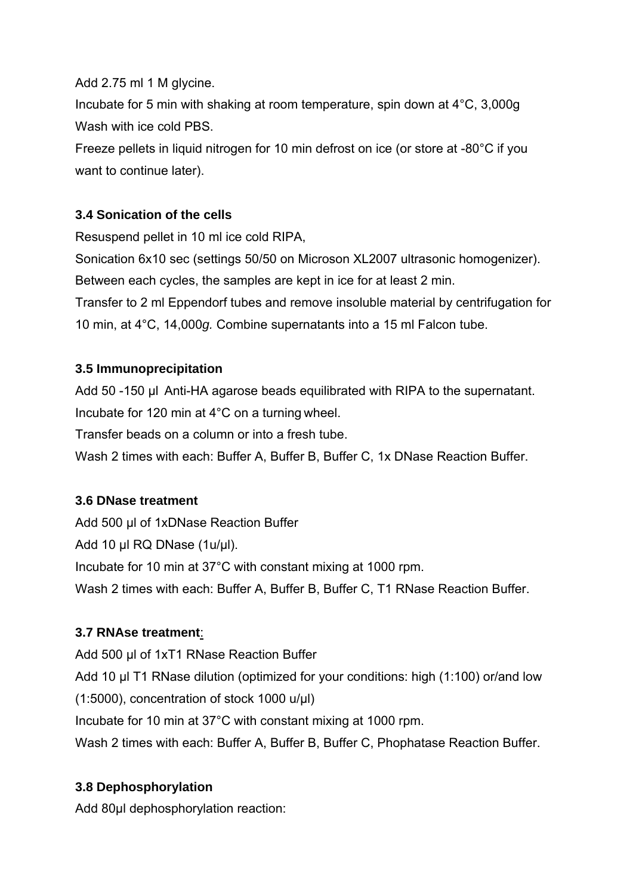Add 2.75 ml 1 M glycine.

Incubate for 5 min with shaking at room temperature, spin down at 4°C, 3,000g Wash with ice cold PBS.

Freeze pellets in liquid nitrogen for 10 min defrost on ice (or store at -80°C if you want to continue later).

# **3.4 Sonication of the cells**

Resuspend pellet in 10 ml ice cold RIPA,

Sonication 6x10 sec (settings 50/50 on Microson XL2007 ultrasonic homogenizer). Between each cycles, the samples are kept in ice for at least 2 min.

Transfer to 2 ml Eppendorf tubes and remove insoluble material by centrifugation for 10 min, at 4°C, 14,000*g.* Combine supernatants into a 15 ml Falcon tube.

# **3.5 Immunoprecipitation**

Add 50 -150 µl Anti-HA agarose beads equilibrated with RIPA to the supernatant. Incubate for 120 min at 4°C on a turning wheel.

Transfer beads on a column or into a fresh tube.

Wash 2 times with each: Buffer A, Buffer B, Buffer C, 1x DNase Reaction Buffer.

# **3.6 DNase treatment**

Add 500 µl of 1xDNase Reaction Buffer Add 10 µl RQ DNase (1u/µl). Incubate for 10 min at 37°C with constant mixing at 1000 rpm. Wash 2 times with each: Buffer A, Buffer B, Buffer C, T1 RNase Reaction Buffer.

# **3.7 RNAse treatment**:

Add 500 µl of 1xT1 RNase Reaction Buffer Add 10 µl T1 RNase dilution (optimized for your conditions: high (1:100) or/and low (1:5000), concentration of stock 1000 u/µl) Incubate for 10 min at 37°C with constant mixing at 1000 rpm. Wash 2 times with each: Buffer A, Buffer B, Buffer C, Phophatase Reaction Buffer.

# **3.8 Dephosphorylation**

Add 80ul dephosphorylation reaction: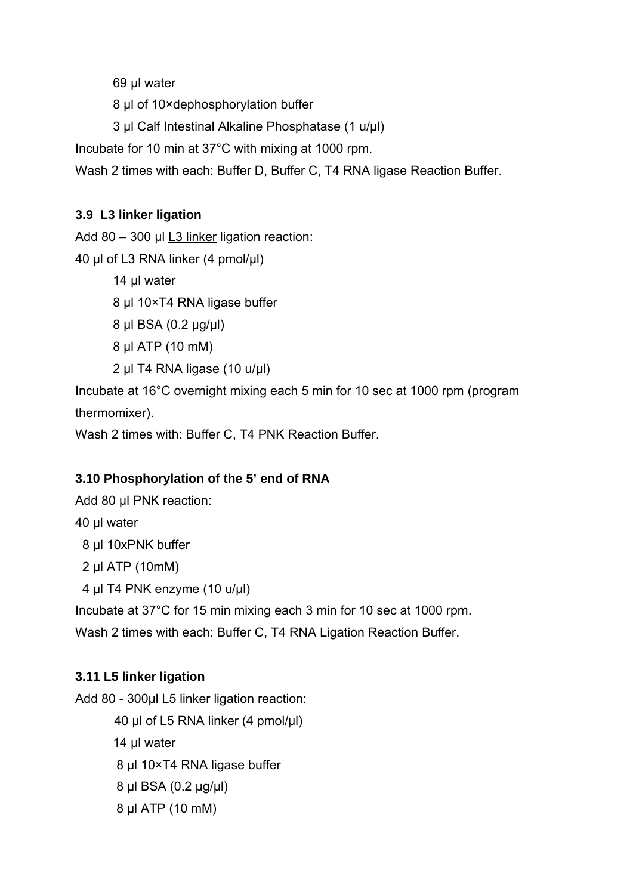69 μl water

8 μl of 10×dephosphorylation buffer

3 μl Calf Intestinal Alkaline Phosphatase (1 u/μl)

Incubate for 10 min at 37°C with mixing at 1000 rpm.

Wash 2 times with each: Buffer D, Buffer C, T4 RNA ligase Reaction Buffer.

# **3.9 L3 linker ligation**

Add 80 – 300 µl L3 linker ligation reaction:

40 μl of L3 RNA linker (4 pmol/μl)

14 μl water

8 μl 10×T4 RNA ligase buffer

8 μl BSA (0.2 μg/μl)

8 μl ATP (10 mM)

2 μl T4 RNA ligase (10 u/μl)

Incubate at 16°C overnight mixing each 5 min for 10 sec at 1000 rpm (program thermomixer).

Wash 2 times with: Buffer C, T4 PNK Reaction Buffer.

# **3.10 Phosphorylation of the 5' end of RNA**

Add 80 µl PNK reaction: 40 μl water 8 μl 10xPNK buffer 2 μl ATP (10mM) 4 μl T4 PNK enzyme (10 u/μl) Incubate at 37°C for 15 min mixing each 3 min for 10 sec at 1000 rpm. Wash 2 times with each: Buffer C, T4 RNA Ligation Reaction Buffer.

# **3.11 L5 linker ligation**

Add 80 - 300µl L5 linker ligation reaction:

μl of L5 RNA linker (4 pmol/μl) 14 ul water μl 10×T4 RNA ligase buffer μl BSA (0.2 μg/μl) μl ATP (10 mM)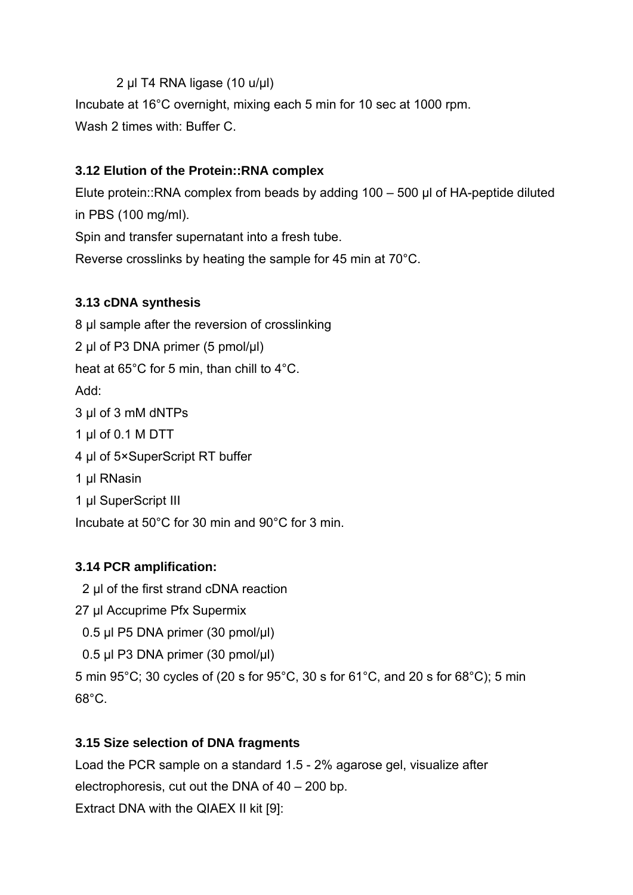# 2 μl T4 RNA ligase (10 u/μl)

Incubate at 16°C overnight, mixing each 5 min for 10 sec at 1000 rpm. Wash 2 times with: Buffer C.

# **3.12 Elution of the Protein::RNA complex**

Elute protein::RNA complex from beads by adding 100 – 500 μl of HA-peptide diluted in PBS (100 mg/ml).

Spin and transfer supernatant into a fresh tube.

Reverse crosslinks by heating the sample for 45 min at 70°C.

# **3.13 cDNA synthesis**

μl sample after the reversion of crosslinking μl of P3 DNA primer (5 pmol/μl) heat at 65°C for 5 min, than chill to 4°C. Add: μl of 3 mM dNTPs μl of 0.1 M DTT μl of 5×SuperScript RT buffer μl RNasin μl SuperScript III Incubate at 50°C for 30 min and 90°C for 3 min.

# **3.14 PCR amplification:**

- 2 μl of the first strand cDNA reaction
- 27 μl Accuprime Pfx Supermix
- 0.5 μl P5 DNA primer (30 pmol/μl)
- 0.5 μl P3 DNA primer (30 pmol/μl)

5 min 95°C; 30 cycles of (20 s for 95°C, 30 s for 61°C, and 20 s for 68°C); 5 min  $68^\circ C$ .

# **3.15 Size selection of DNA fragments**

Load the PCR sample on a standard 1.5 - 2% agarose gel, visualize after electrophoresis, cut out the DNA of 40 – 200 bp. Extract DNA with the QIAEX II kit [9]: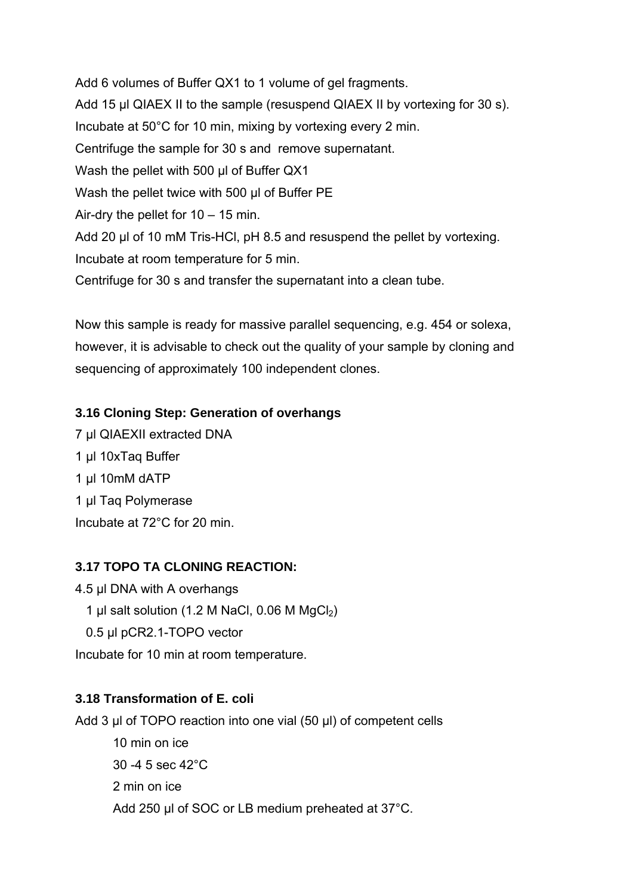Add 6 volumes of Buffer QX1 to 1 volume of gel fragments. Add 15 μl QIAEX II to the sample (resuspend QIAEX II by vortexing for 30 s). Incubate at 50°C for 10 min, mixing by vortexing every 2 min. Centrifuge the sample for 30 s and remove supernatant. Wash the pellet with 500 μl of Buffer QX1 Wash the pellet twice with 500 μl of Buffer PE Air-dry the pellet for  $10 - 15$  min. Add 20 μl of 10 mM Tris-HCl, pH 8.5 and resuspend the pellet by vortexing. Incubate at room temperature for 5 min. Centrifuge for 30 s and transfer the supernatant into a clean tube.

Now this sample is ready for massive parallel sequencing, e.g. 454 or solexa, however, it is advisable to check out the quality of your sample by cloning and sequencing of approximately 100 independent clones.

#### **3.16 Cloning Step: Generation of overhangs**

μl QIAEXII extracted DNA μl 10xTaq Buffer μl 10mM dATP μl Taq Polymerase Incubate at 72°C for 20 min.

# **3.17 TOPO TA CLONING REACTION:**

4.5 μl DNA with A overhangs 1 µl salt solution (1.2 M NaCl, 0.06 M MgCl<sub>2</sub>) 0.5 μl pCR2.1-TOPO vector Incubate for 10 min at room temperature.

# **3.18 Transformation of E. coli**

Add 3 μl of TOPO reaction into one vial (50 μl) of competent cells

 10 min on ice 30 -4 5 sec 42°C 2 min on ice Add 250 μl of SOC or LB medium preheated at 37°C.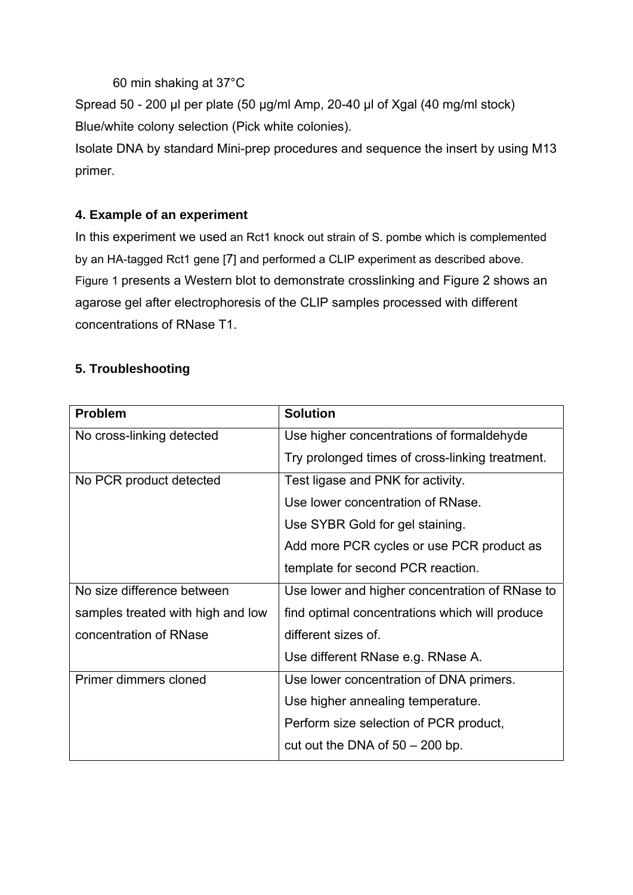60 min shaking at 37°C

Spread 50 - 200 μl per plate (50 μg/ml Amp, 20-40 µl of Xgal (40 mg/ml stock) Blue/white colony selection (Pick white colonies).

Isolate DNA by standard Mini-prep procedures and sequence the insert by using M13 primer.

# **4. Example of an experiment**

In this experiment we used an Rct1 knock out strain of S. pombe which is complemented by an HA-tagged Rct1 gene [7] and performed a CLIP experiment as described above. Figure 1 presents a Western blot to demonstrate crosslinking and Figure 2 shows an agarose gel after electrophoresis of the CLIP samples processed with different concentrations of RNase T1.

# **5. Troubleshooting**

| <b>Problem</b>                    | <b>Solution</b>                                 |
|-----------------------------------|-------------------------------------------------|
| No cross-linking detected         | Use higher concentrations of formaldehyde       |
|                                   | Try prolonged times of cross-linking treatment. |
| No PCR product detected           | Test ligase and PNK for activity.               |
|                                   | Use lower concentration of RNase.               |
|                                   | Use SYBR Gold for gel staining.                 |
|                                   | Add more PCR cycles or use PCR product as       |
|                                   | template for second PCR reaction.               |
| No size difference between        | Use lower and higher concentration of RNase to  |
| samples treated with high and low | find optimal concentrations which will produce  |
| concentration of RNase            | different sizes of.                             |
|                                   | Use different RNase e.g. RNase A.               |
| Primer dimmers cloned             | Use lower concentration of DNA primers.         |
|                                   | Use higher annealing temperature.               |
|                                   | Perform size selection of PCR product,          |
|                                   | cut out the DNA of $50 - 200$ bp.               |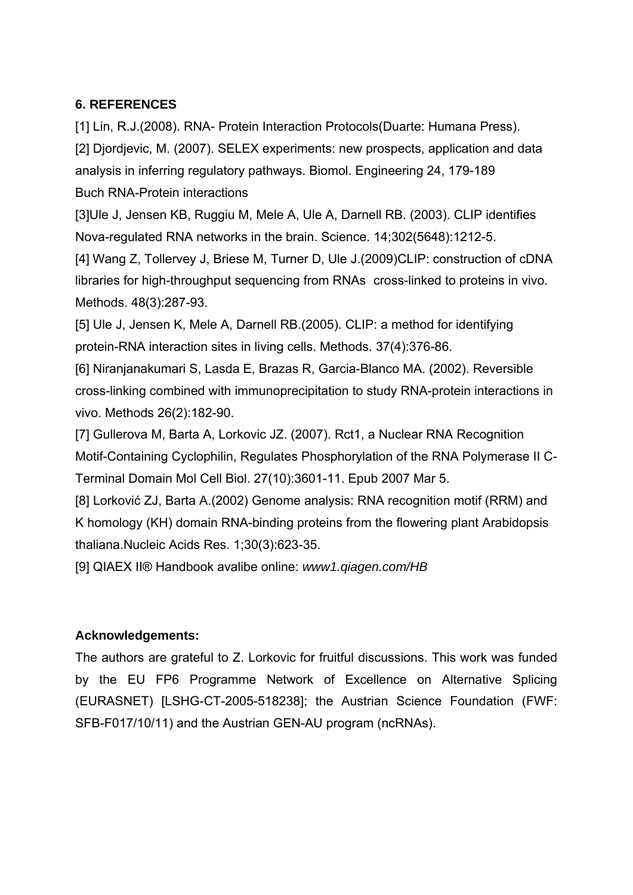# **6. REFERENCES**

[1] Lin, R.J.(2008). RNA- Protein Interaction Protocols(Duarte: Humana Press). [2] Djordjevic, M. (2007). SELEX experiments: new prospects, application and data analysis in inferring regulatory pathways. Biomol. Engineering 24, 179-189 Buch RNA-Protein interactions

[3]Ule J, Jensen KB, Ruggiu M, Mele A, Ule A, Darnell RB. (2003). CLIP identifies Nova-regulated RNA networks in the brain. Science. 14;302(5648):1212-5.

[4] Wang Z, Tollervey J, Briese M, Turner D, Ule J.(2009)CLIP: construction of cDNA libraries for high-throughput sequencing from RNAs cross-linked to proteins in vivo. Methods. 48(3):287-93.

[5] Ule J, Jensen K, Mele A, Darnell RB.(2005). CLIP: a method for identifying protein-RNA interaction sites in living cells. Methods. 37(4):376-86.

[6] Niranjanakumari S, Lasda E, Brazas R, Garcia-Blanco MA. (2002). Reversible cross-linking combined with immunoprecipitation to study RNA-protein interactions in vivo. Methods 26(2):182-90.

[7] Gullerova M, Barta A, Lorkovic JZ. (2007). Rct1, a Nuclear RNA Recognition Motif-Containing Cyclophilin, Regulates Phosphorylation of the RNA Polymerase II C-Terminal Domain Mol Cell Biol. 27(10):3601-11. Epub 2007 Mar 5.

[8] Lorković ZJ, Barta A.(2002) Genome analysis: RNA recognition motif (RRM) and K homology (KH) domain RNA-binding proteins from the flowering plant Arabidopsis thaliana.Nucleic Acids Res. 1;30(3):623-35.

[9] QIAEX II® Handbook avalibe online: *www1.qiagen.com/HB*

#### **Acknowledgements:**

The authors are grateful to Z. Lorkovic for fruitful discussions. This work was funded by the EU FP6 Programme Network of Excellence on Alternative Splicing (EURASNET) [LSHG-CT-2005-518238]; the Austrian Science Foundation (FWF: SFB-F017/10/11) and the Austrian GEN-AU program (ncRNAs).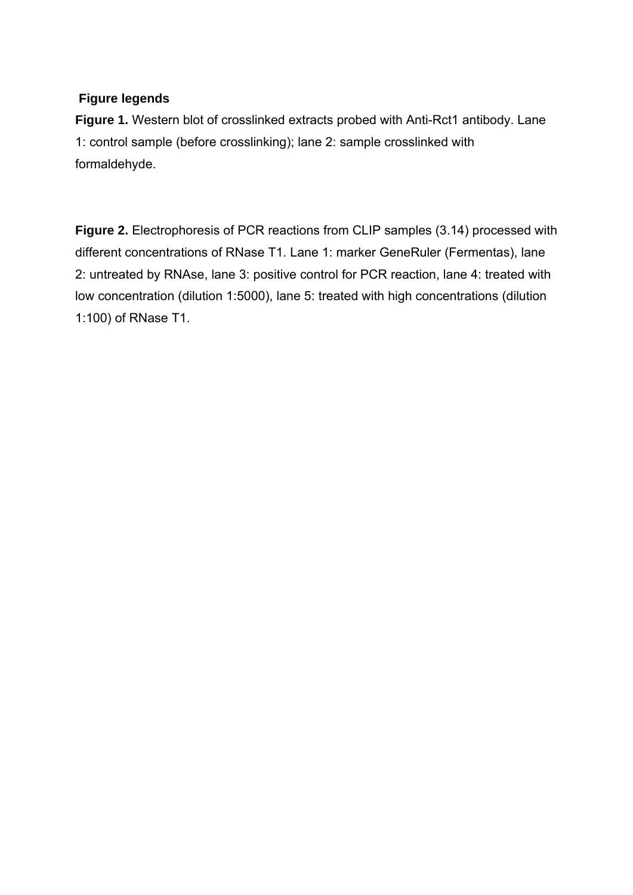#### **Figure legends**

Figure 1. Western blot of crosslinked extracts probed with Anti-Rct1 antibody. Lane 1: control sample (before crosslinking); lane 2: sample crosslinked with formaldehyde.

**Figure 2.** Electrophoresis of PCR reactions from CLIP samples (3.14) processed with different concentrations of RNase T1. Lane 1: marker GeneRuler (Fermentas), lane 2: untreated by RNAse, lane 3: positive control for PCR reaction, lane 4: treated with low concentration (dilution 1:5000), lane 5: treated with high concentrations (dilution 1:100) of RNase T1.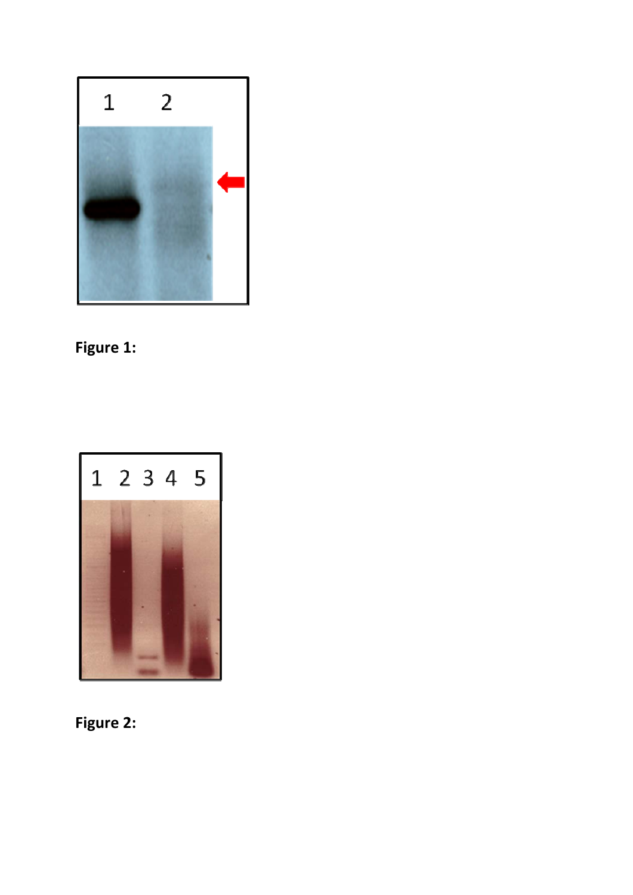

# **Figure 1:**



**Figure 2:**